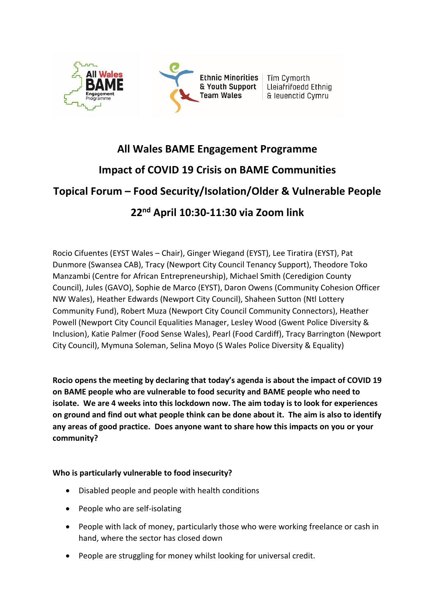

# **All Wales BAME Engagement Programme Impact of COVID 19 Crisis on BAME Communities Topical Forum – Food Security/Isolation/Older & Vulnerable People 22nd April 10:30-11:30 via Zoom link**

Rocio Cifuentes (EYST Wales – Chair), Ginger Wiegand (EYST), Lee Tiratira (EYST), Pat Dunmore (Swansea CAB), Tracy (Newport City Council Tenancy Support), Theodore Toko Manzambi (Centre for African Entrepreneurship), Michael Smith (Ceredigion County Council), Jules (GAVO), Sophie de Marco (EYST), Daron Owens (Community Cohesion Officer NW Wales), Heather Edwards (Newport City Council), Shaheen Sutton (Ntl Lottery Community Fund), Robert Muza (Newport City Council Community Connectors), Heather Powell (Newport City Council Equalities Manager, Lesley Wood (Gwent Police Diversity & Inclusion), Katie Palmer (Food Sense Wales), Pearl (Food Cardiff), Tracy Barrington (Newport City Council), Mymuna Soleman, Selina Moyo (S Wales Police Diversity & Equality)

**Rocio opens the meeting by declaring that today's agenda is about the impact of COVID 19 on BAME people who are vulnerable to food security and BAME people who need to isolate. We are 4 weeks into this lockdown now. The aim today is to look for experiences on ground and find out what people think can be done about it. The aim is also to identify any areas of good practice. Does anyone want to share how this impacts on you or your community?** 

**Who is particularly vulnerable to food insecurity?** 

- Disabled people and people with health conditions
- People who are self-isolating
- People with lack of money, particularly those who were working freelance or cash in hand, where the sector has closed down
- People are struggling for money whilst looking for universal credit.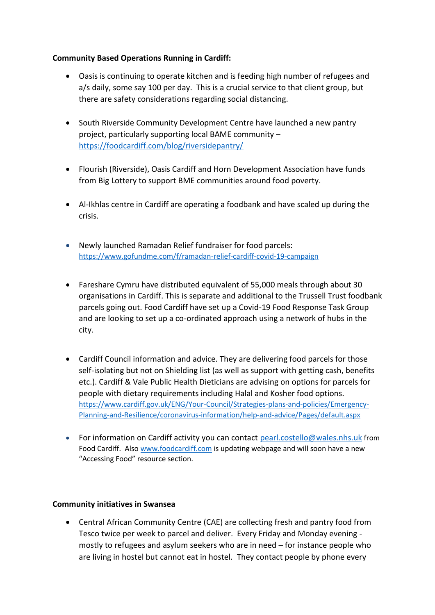## **Community Based Operations Running in Cardiff:**

- Oasis is continuing to operate kitchen and is feeding high number of refugees and a/s daily, some say 100 per day. This is a crucial service to that client group, but there are safety considerations regarding social distancing.
- South Riverside Community Development Centre have launched a new pantry project, particularly supporting local BAME community – <https://foodcardiff.com/blog/riversidepantry/>
- Flourish (Riverside), Oasis Cardiff and Horn Development Association have funds from Big Lottery to support BME communities around food poverty.
- Al-Ikhlas centre in Cardiff are operating a foodbank and have scaled up during the crisis.
- Newly launched Ramadan Relief fundraiser for food parcels: [https://www.gofundme.com/f/ramadan-relief-cardiff-covid-19-campaign](https://www.gofundme.com/f/ramadan-relief-cardiff-covid-19-campaign?utm_source=customer&utm_medium=copy_link-tip&utm_campaign=p_cp+share-sheet)
- Fareshare Cymru have distributed equivalent of 55,000 meals through about 30 organisations in Cardiff. This is separate and additional to the Trussell Trust foodbank parcels going out. Food Cardiff have set up a Covid-19 Food Response Task Group and are looking to set up a co-ordinated approach using a network of hubs in the city.
- Cardiff Council information and advice. They are delivering food parcels for those self-isolating but not on Shielding list (as well as support with getting cash, benefits etc.). Cardiff & Vale Public Health Dieticians are advising on options for parcels for people with dietary requirements including Halal and Kosher food options. [https://www.cardiff.gov.uk/ENG/Your-Council/Strategies-plans-and-policies/Emergency-](https://www.cardiff.gov.uk/ENG/Your-Council/Strategies-plans-and-policies/Emergency-Planning-and-Resilience/coronavirus-information/help-and-advice/Pages/default.aspx)[Planning-and-Resilience/coronavirus-information/help-and-advice/Pages/default.aspx](https://www.cardiff.gov.uk/ENG/Your-Council/Strategies-plans-and-policies/Emergency-Planning-and-Resilience/coronavirus-information/help-and-advice/Pages/default.aspx)
- For information on Cardiff activity you can contact [pearl.costello@wales.nhs.uk](mailto:pearl.costello@wales.nhs.uk) from Food Cardiff. Also [www.foodcardiff.com](http://www.foodcardiff.com/) is updating webpage and will soon have a new "Accessing Food" resource section.

#### **Community initiatives in Swansea**

• Central African Community Centre (CAE) are collecting fresh and pantry food from Tesco twice per week to parcel and deliver. Every Friday and Monday evening mostly to refugees and asylum seekers who are in need – for instance people who are living in hostel but cannot eat in hostel. They contact people by phone every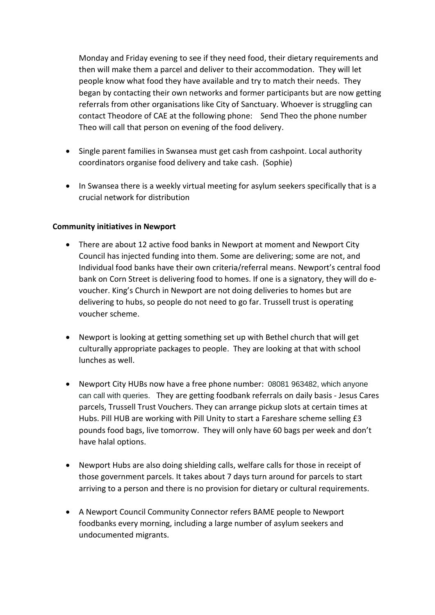Monday and Friday evening to see if they need food, their dietary requirements and then will make them a parcel and deliver to their accommodation. They will let people know what food they have available and try to match their needs. They began by contacting their own networks and former participants but are now getting referrals from other organisations like City of Sanctuary. Whoever is struggling can contact Theodore of CAE at the following phone: Send Theo the phone number Theo will call that person on evening of the food delivery.

- Single parent families in Swansea must get cash from cashpoint. Local authority coordinators organise food delivery and take cash. (Sophie)
- In Swansea there is a weekly virtual meeting for asylum seekers specifically that is a crucial network for distribution

### **Community initiatives in Newport**

- There are about 12 active food banks in Newport at moment and Newport City Council has injected funding into them. Some are delivering; some are not, and Individual food banks have their own criteria/referral means. Newport's central food bank on Corn Street is delivering food to homes. If one is a signatory, they will do evoucher. King's Church in Newport are not doing deliveries to homes but are delivering to hubs, so people do not need to go far. Trussell trust is operating voucher scheme.
- Newport is looking at getting something set up with Bethel church that will get culturally appropriate packages to people. They are looking at that with school lunches as well.
- Newport City HUBs now have a free phone number: 08081 963482, which anyone can call with queries. They are getting foodbank referrals on daily basis - Jesus Cares parcels, Trussell Trust Vouchers. They can arrange pickup slots at certain times at Hubs. Pill HUB are working with Pill Unity to start a Fareshare scheme selling £3 pounds food bags, live tomorrow. They will only have 60 bags per week and don't have halal options.
- Newport Hubs are also doing shielding calls, welfare calls for those in receipt of those government parcels. It takes about 7 days turn around for parcels to start arriving to a person and there is no provision for dietary or cultural requirements.
- A Newport Council Community Connector refers BAME people to Newport foodbanks every morning, including a large number of asylum seekers and undocumented migrants.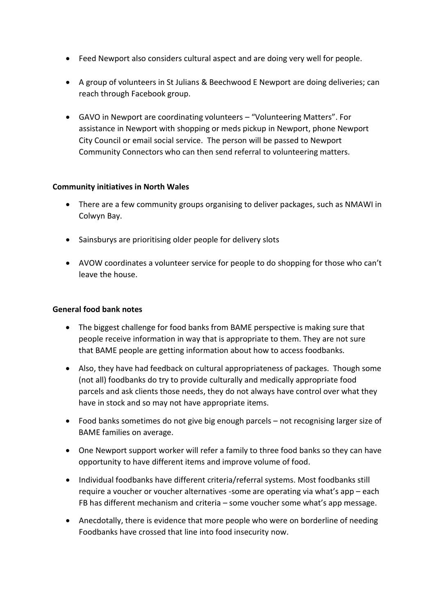- Feed Newport also considers cultural aspect and are doing very well for people.
- A group of volunteers in St Julians & Beechwood E Newport are doing deliveries; can reach through Facebook group.
- GAVO in Newport are coordinating volunteers "Volunteering Matters". For assistance in Newport with shopping or meds pickup in Newport, phone Newport City Council or email social service. The person will be passed to Newport Community Connectors who can then send referral to volunteering matters.

### **Community initiatives in North Wales**

- There are a few community groups organising to deliver packages, such as NMAWI in Colwyn Bay.
- Sainsburys are prioritising older people for delivery slots
- AVOW coordinates a volunteer service for people to do shopping for those who can't leave the house.

## **General food bank notes**

- The biggest challenge for food banks from BAME perspective is making sure that people receive information in way that is appropriate to them. They are not sure that BAME people are getting information about how to access foodbanks.
- Also, they have had feedback on cultural appropriateness of packages. Though some (not all) foodbanks do try to provide culturally and medically appropriate food parcels and ask clients those needs, they do not always have control over what they have in stock and so may not have appropriate items.
- Food banks sometimes do not give big enough parcels not recognising larger size of BAME families on average.
- One Newport support worker will refer a family to three food banks so they can have opportunity to have different items and improve volume of food.
- Individual foodbanks have different criteria/referral systems. Most foodbanks still require a voucher or voucher alternatives -some are operating via what's app – each FB has different mechanism and criteria – some voucher some what's app message.
- Anecdotally, there is evidence that more people who were on borderline of needing Foodbanks have crossed that line into food insecurity now.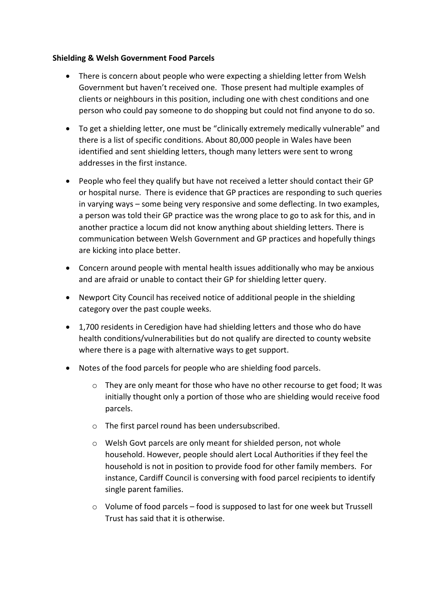### **Shielding & Welsh Government Food Parcels**

- There is concern about people who were expecting a shielding letter from Welsh Government but haven't received one. Those present had multiple examples of clients or neighbours in this position, including one with chest conditions and one person who could pay someone to do shopping but could not find anyone to do so.
- To get a shielding letter, one must be "clinically extremely medically vulnerable" and there is a list of specific conditions. About 80,000 people in Wales have been identified and sent shielding letters, though many letters were sent to wrong addresses in the first instance.
- People who feel they qualify but have not received a letter should contact their GP or hospital nurse. There is evidence that GP practices are responding to such queries in varying ways – some being very responsive and some deflecting. In two examples, a person was told their GP practice was the wrong place to go to ask for this, and in another practice a locum did not know anything about shielding letters. There is communication between Welsh Government and GP practices and hopefully things are kicking into place better.
- Concern around people with mental health issues additionally who may be anxious and are afraid or unable to contact their GP for shielding letter query.
- Newport City Council has received notice of additional people in the shielding category over the past couple weeks.
- 1,700 residents in Ceredigion have had shielding letters and those who do have health conditions/vulnerabilities but do not qualify are directed to county website where there is a page with alternative ways to get support.
- Notes of the food parcels for people who are shielding food parcels.
	- $\circ$  They are only meant for those who have no other recourse to get food; It was initially thought only a portion of those who are shielding would receive food parcels.
	- o The first parcel round has been undersubscribed.
	- o Welsh Govt parcels are only meant for shielded person, not whole household. However, people should alert Local Authorities if they feel the household is not in position to provide food for other family members. For instance, Cardiff Council is conversing with food parcel recipients to identify single parent families.
	- o Volume of food parcels food is supposed to last for one week but Trussell Trust has said that it is otherwise.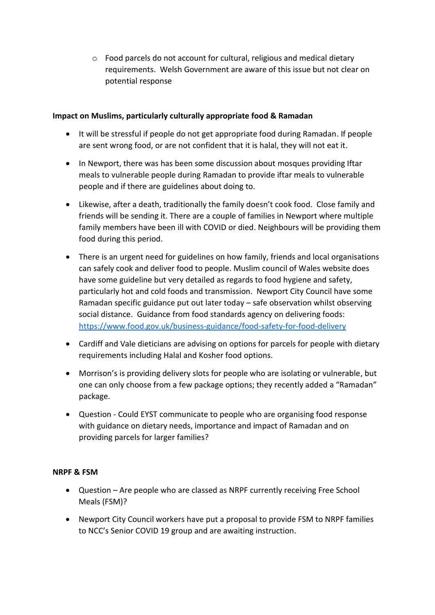o Food parcels do not account for cultural, religious and medical dietary requirements. Welsh Government are aware of this issue but not clear on potential response

### **Impact on Muslims, particularly culturally appropriate food & Ramadan**

- It will be stressful if people do not get appropriate food during Ramadan. If people are sent wrong food, or are not confident that it is halal, they will not eat it.
- In Newport, there was has been some discussion about mosques providing Iftar meals to vulnerable people during Ramadan to provide iftar meals to vulnerable people and if there are guidelines about doing to.
- Likewise, after a death, traditionally the family doesn't cook food. Close family and friends will be sending it. There are a couple of families in Newport where multiple family members have been ill with COVID or died. Neighbours will be providing them food during this period.
- There is an urgent need for guidelines on how family, friends and local organisations can safely cook and deliver food to people. Muslim council of Wales website does have some guideline but very detailed as regards to food hygiene and safety, particularly hot and cold foods and transmission. Newport City Council have some Ramadan specific guidance put out later today – safe observation whilst observing social distance. Guidance from food standards agency on delivering foods: <https://www.food.gov.uk/business-guidance/food-safety-for-food-delivery>
- Cardiff and Vale dieticians are advising on options for parcels for people with dietary requirements including Halal and Kosher food options.
- Morrison's is providing delivery slots for people who are isolating or vulnerable, but one can only choose from a few package options; they recently added a "Ramadan" package.
- Question Could EYST communicate to people who are organising food response with guidance on dietary needs, importance and impact of Ramadan and on providing parcels for larger families?

## **NRPF & FSM**

- Question Are people who are classed as NRPF currently receiving Free School Meals (FSM)?
- Newport City Council workers have put a proposal to provide FSM to NRPF families to NCC's Senior COVID 19 group and are awaiting instruction.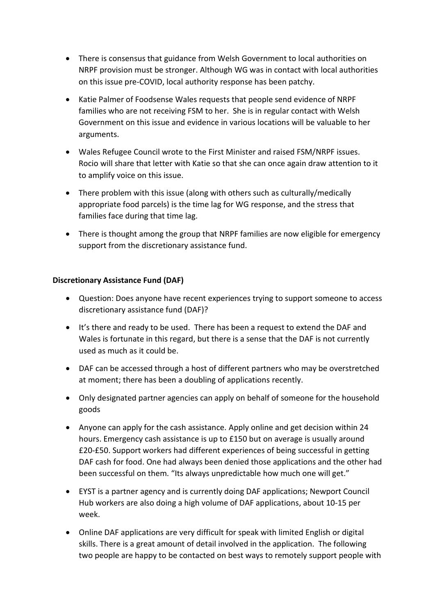- There is consensus that guidance from Welsh Government to local authorities on NRPF provision must be stronger. Although WG was in contact with local authorities on this issue pre-COVID, local authority response has been patchy.
- Katie Palmer of Foodsense Wales requests that people send evidence of NRPF families who are not receiving FSM to her. She is in regular contact with Welsh Government on this issue and evidence in various locations will be valuable to her arguments.
- Wales Refugee Council wrote to the First Minister and raised FSM/NRPF issues. Rocio will share that letter with Katie so that she can once again draw attention to it to amplify voice on this issue.
- There problem with this issue (along with others such as culturally/medically appropriate food parcels) is the time lag for WG response, and the stress that families face during that time lag.
- There is thought among the group that NRPF families are now eligible for emergency support from the discretionary assistance fund.

## **Discretionary Assistance Fund (DAF)**

- Question: Does anyone have recent experiences trying to support someone to access discretionary assistance fund (DAF)?
- It's there and ready to be used. There has been a request to extend the DAF and Wales is fortunate in this regard, but there is a sense that the DAF is not currently used as much as it could be.
- DAF can be accessed through a host of different partners who may be overstretched at moment; there has been a doubling of applications recently.
- Only designated partner agencies can apply on behalf of someone for the household goods
- Anyone can apply for the cash assistance. Apply online and get decision within 24 hours. Emergency cash assistance is up to £150 but on average is usually around £20-£50. Support workers had different experiences of being successful in getting DAF cash for food. One had always been denied those applications and the other had been successful on them. "Its always unpredictable how much one will get."
- EYST is a partner agency and is currently doing DAF applications; Newport Council Hub workers are also doing a high volume of DAF applications, about 10-15 per week.
- Online DAF applications are very difficult for speak with limited English or digital skills. There is a great amount of detail involved in the application. The following two people are happy to be contacted on best ways to remotely support people with